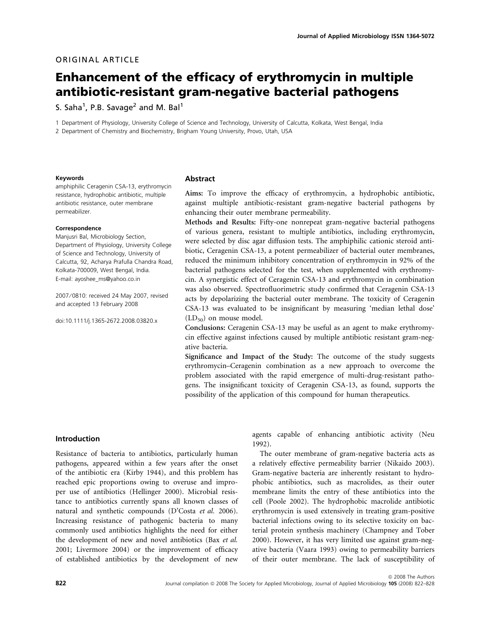# ORIGINAL ARTICLE

# Enhancement of the efficacy of erythromycin in multiple antibiotic-resistant gram-negative bacterial pathogens

S. Saha $^1$ , P.B. Savage $^2$  and M. Bal $^1$ 

1 Department of Physiology, University College of Science and Technology, University of Calcutta, Kolkata, West Bengal, India 2 Department of Chemistry and Biochemistry, Brigham Young University, Provo, Utah, USA

#### Keywords

amphiphilic Ceragenin CSA-13, erythromycin resistance, hydrophobic antibiotic, multiple antibiotic resistance, outer membrane permeabilizer.

#### Correspondence

Manjusri Bal, Microbiology Section, Department of Physiology, University College of Science and Technology, University of Calcutta, 92, Acharya Prafulla Chandra Road, Kolkata-700009, West Bengal, India. E-mail: ayoshee\_ms@yahoo.co.in

2007 ⁄ 0810: received 24 May 2007, revised and accepted 13 February 2008

doi:10.1111/j.1365-2672.2008.03820.x

#### Abstract

Aims: To improve the efficacy of erythromycin, a hydrophobic antibiotic, against multiple antibiotic-resistant gram-negative bacterial pathogens by enhancing their outer membrane permeability.

Methods and Results: Fifty-one nonrepeat gram-negative bacterial pathogens of various genera, resistant to multiple antibiotics, including erythromycin, were selected by disc agar diffusion tests. The amphiphilic cationic steroid antibiotic, Ceragenin CSA-13, a potent permeabilizer of bacterial outer membranes, reduced the minimum inhibitory concentration of erythromycin in 92% of the bacterial pathogens selected for the test, when supplemented with erythromycin. A synergistic effect of Ceragenin CSA-13 and erythromycin in combination was also observed. Spectrofluorimetric study confirmed that Ceragenin CSA-13 acts by depolarizing the bacterial outer membrane. The toxicity of Ceragenin CSA-13 was evaluated to be insignificant by measuring 'median lethal dose'  $(LD_{50})$  on mouse model.

Conclusions: Ceragenin CSA-13 may be useful as an agent to make erythromycin effective against infections caused by multiple antibiotic resistant gram-negative bacteria.

Significance and Impact of the Study: The outcome of the study suggests erythromycin–Ceragenin combination as a new approach to overcome the problem associated with the rapid emergence of multi-drug-resistant pathogens. The insignificant toxicity of Ceragenin CSA-13, as found, supports the possibility of the application of this compound for human therapeutics.

## Introduction

Resistance of bacteria to antibiotics, particularly human pathogens, appeared within a few years after the onset of the antibiotic era (Kirby 1944), and this problem has reached epic proportions owing to overuse and improper use of antibiotics (Hellinger 2000). Microbial resistance to antibiotics currently spans all known classes of natural and synthetic compounds (D'Costa et al. 2006). Increasing resistance of pathogenic bacteria to many commonly used antibiotics highlights the need for either the development of new and novel antibiotics (Bax et al. 2001; Livermore 2004) or the improvement of efficacy of established antibiotics by the development of new agents capable of enhancing antibiotic activity (Neu 1992).

The outer membrane of gram-negative bacteria acts as a relatively effective permeability barrier (Nikaido 2003). Gram-negative bacteria are inherently resistant to hydrophobic antibiotics, such as macrolides, as their outer membrane limits the entry of these antibiotics into the cell (Poole 2002). The hydrophobic macrolide antibiotic erythromycin is used extensively in treating gram-positive bacterial infections owing to its selective toxicity on bacterial protein synthesis machinery (Champney and Tober 2000). However, it has very limited use against gram-negative bacteria (Vaara 1993) owing to permeability barriers of their outer membrane. The lack of susceptibility of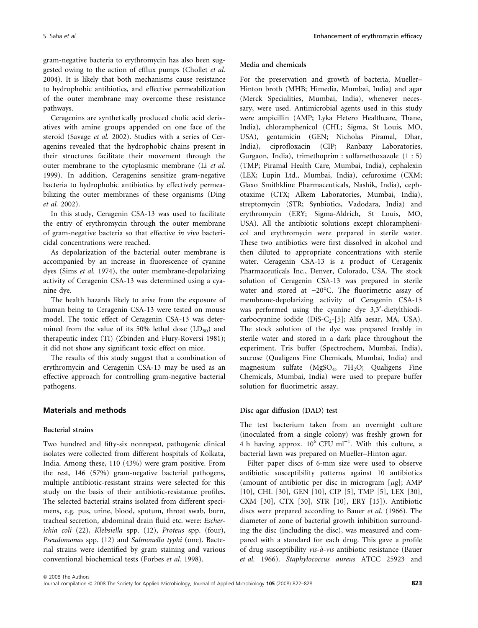gram-negative bacteria to erythromycin has also been suggested owing to the action of efflux pumps (Chollet et al. 2004). It is likely that both mechanisms cause resistance to hydrophobic antibiotics, and effective permeabilization of the outer membrane may overcome these resistance pathways.

Ceragenins are synthetically produced cholic acid derivatives with amine groups appended on one face of the steroid (Savage et al. 2002). Studies with a series of Ceragenins revealed that the hydrophobic chains present in their structures facilitate their movement through the outer membrane to the cytoplasmic membrane (Li et al. 1999). In addition, Ceragenins sensitize gram-negative bacteria to hydrophobic antibiotics by effectively permeabilizing the outer membranes of these organisms (Ding et al. 2002).

In this study, Ceragenin CSA-13 was used to facilitate the entry of erythromycin through the outer membrane of gram-negative bacteria so that effective in vivo bactericidal concentrations were reached.

As depolarization of the bacterial outer membrane is accompanied by an increase in fluorescence of cyanine dyes (Sims et al. 1974), the outer membrane-depolarizing activity of Ceragenin CSA-13 was determined using a cyanine dye.

The health hazards likely to arise from the exposure of human being to Ceragenin CSA-13 were tested on mouse model. The toxic effect of Ceragenin CSA-13 was determined from the value of its 50% lethal dose  $(LD_{50})$  and therapeutic index (TI) (Zbinden and Flury-Roversi 1981); it did not show any significant toxic effect on mice.

The results of this study suggest that a combination of erythromycin and Ceragenin CSA-13 may be used as an effective approach for controlling gram-negative bacterial pathogens.

### Materials and methods

#### Bacterial strains

Two hundred and fifty-six nonrepeat, pathogenic clinical isolates were collected from different hospitals of Kolkata, India. Among these, 110 (43%) were gram positive. From the rest, 146 (57%) gram-negative bacterial pathogens, multiple antibiotic-resistant strains were selected for this study on the basis of their antibiotic-resistance profiles. The selected bacterial strains isolated from different specimens, e.g. pus, urine, blood, sputum, throat swab, burn, tracheal secretion, abdominal drain fluid etc. were: Escherichia coli (22), Klebsiella spp. (12), Proteus spp. (four), Pseudomonas spp. (12) and Salmonella typhi (one). Bacterial strains were identified by gram staining and various conventional biochemical tests (Forbes et al. 1998).

#### Media and chemicals

For the preservation and growth of bacteria, Mueller– Hinton broth (MHB; Himedia, Mumbai, India) and agar (Merck Specialities, Mumbai, India), whenever necessary, were used. Antimicrobial agents used in this study were ampicillin (AMP; Lyka Hetero Healthcare, Thane, India), chloramphenicol (CHL; Sigma, St Louis, MO, USA), gentamicin (GEN; Nicholas Piramal, Dhar, India), ciprofloxacin (CIP; Ranbaxy Laboratories, Gurgaon, India), trimethoprim : sulfamethoxazole (1 : 5) (TMP; Piramal Health Care, Mumbai, India), cephalexin (LEX; Lupin Ltd., Mumbai, India), cefuroxime (CXM; Glaxo Smithkline Pharmaceuticals, Nashik, India), cephotaxime (CTX; Alkem Laboratories, Mumbai, India), streptomycin (STR; Synbiotics, Vadodara, India) and erythromycin (ERY; Sigma-Aldrich, St Louis, MO, USA). All the antibiotic solutions except chloramphenicol and erythromycin were prepared in sterile water. These two antibiotics were first dissolved in alcohol and then diluted to appropriate concentrations with sterile water. Ceragenin CSA-13 is a product of Ceragenix Pharmaceuticals Inc., Denver, Colorado, USA. The stock solution of Ceragenin CSA-13 was prepared in sterile water and stored at  $-20^{\circ}$ C. The fluorimetric assay of membrane-depolarizing activity of Ceragenin CSA-13 was performed using the cyanine dye 3,3'-dietylthiodicarbocyanine iodide (DiS-C<sub>2</sub>-[5]; Alfa aesar, MA, USA). The stock solution of the dye was prepared freshly in sterile water and stored in a dark place throughout the experiment. Tris buffer (Spectrochem, Mumbai, India), sucrose (Qualigens Fine Chemicals, Mumbai, India) and magnesium sulfate ( $MgSO_4$ , 7H<sub>2</sub>O; Qualigens Fine Chemicals, Mumbai, India) were used to prepare buffer solution for fluorimetric assay.

## Disc agar diffusion (DAD) test

The test bacterium taken from an overnight culture (inoculated from a single colony) was freshly grown for 4 h having approx.  $10^6$  CFU ml<sup>-1</sup>. With this culture, a bacterial lawn was prepared on Mueller–Hinton agar.

Filter paper discs of 6-mm size were used to observe antibiotic susceptibility patterns against 10 antibiotics (amount of antibiotic per disc in microgram  $[\mu$ g]; AMP [10], CHL [30], GEN [10], CIP [5], TMP [5], LEX [30], CXM [30], CTX [30], STR [10], ERY [15]). Antibiotic discs were prepared according to Bauer et al. (1966). The diameter of zone of bacterial growth inhibition surrounding the disc (including the disc), was measured and compared with a standard for each drug. This gave a profile of drug susceptibility vis-à-vis antibiotic resistance (Bauer et al. 1966). Staphylococcus aureus ATCC 25923 and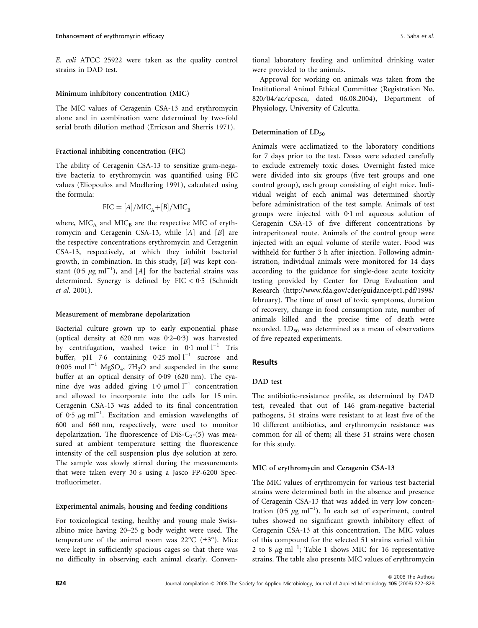E. coli ATCC 25922 were taken as the quality control strains in DAD test.

### Minimum inhibitory concentration (MIC)

The MIC values of Ceragenin CSA-13 and erythromycin alone and in combination were determined by two-fold serial broth dilution method (Erricson and Sherris 1971).

#### Fractional inhibiting concentration (FIC)

The ability of Ceragenin CSA-13 to sensitize gram-negative bacteria to erythromycin was quantified using FIC values (Eliopoulos and Moellering 1991), calculated using the formula:

$$
FIC = [A]/MIC_A + [B]/MIC_B
$$

where,  $MIC<sub>A</sub>$  and  $MIC<sub>B</sub>$  are the respective MIC of erythromycin and Ceragenin CSA-13, while [A] and [B] are the respective concentrations erythromycin and Ceragenin CSA-13, respectively, at which they inhibit bacterial growth, in combination. In this study, [B] was kept constant (0.5  $\mu$ g ml<sup>-1</sup>), and [A] for the bacterial strains was determined. Synergy is defined by  $FIC < 0.5$  (Schmidt et al. 2001).

### Measurement of membrane depolarization

Bacterial culture grown up to early exponential phase (optical density at  $620$  nm was  $0.2-0.3$ ) was harvested by centrifugation, washed twice in  $0.1$  mol  $1^{-1}$  Tris buffer, pH 7.6 containing 0.25 mol  $l^{-1}$  sucrose and  $0.005$  mol  $1^{-1}$  MgSO<sub>4</sub>, 7H<sub>2</sub>O and suspended in the same buffer at an optical density of 0.09 (620 nm). The cyanine dye was added giving  $1.0 \mu$ mol l<sup>-1</sup> concentration and allowed to incorporate into the cells for 15 min. Ceragenin CSA-13 was added to its final concentration of  $0.5 \mu g$  ml<sup>-1</sup>. Excitation and emission wavelengths of 600 and 660 nm, respectively, were used to monitor depolarization. The fluorescence of DiS-C<sub>2</sub>-(5) was measured at ambient temperature setting the fluorescence intensity of the cell suspension plus dye solution at zero. The sample was slowly stirred during the measurements that were taken every 30 s using a Jasco FP-6200 Spectrofluorimeter.

## Experimental animals, housing and feeding conditions

For toxicological testing, healthy and young male Swissalbino mice having 20–25 g body weight were used. The temperature of the animal room was  $22^{\circ}C$  ( $\pm 3^{\circ}$ ). Mice were kept in sufficiently spacious cages so that there was no difficulty in observing each animal clearly. Conventional laboratory feeding and unlimited drinking water were provided to the animals.

Approval for working on animals was taken from the Institutional Animal Ethical Committee (Registration No. 820/04/ac/cpcsca, dated 06.08.2004), Department of Physiology, University of Calcutta.

## Determination of LD<sub>50</sub>

Animals were acclimatized to the laboratory conditions for 7 days prior to the test. Doses were selected carefully to exclude extremely toxic doses. Overnight fasted mice were divided into six groups (five test groups and one control group), each group consisting of eight mice. Individual weight of each animal was determined shortly before administration of the test sample. Animals of test groups were injected with  $0.1$  ml aqueous solution of Ceragenin CSA-13 of five different concentrations by intraperitoneal route. Animals of the control group were injected with an equal volume of sterile water. Food was withheld for further 3 h after injection. Following administration, individual animals were monitored for 14 days according to the guidance for single-dose acute toxicity testing provided by Center for Drug Evaluation and Research (http://www.fda.gov/cder/guidance/pt1.pdf/1998/ february). The time of onset of toxic symptoms, duration of recovery, change in food consumption rate, number of animals killed and the precise time of death were recorded.  $LD_{50}$  was determined as a mean of observations of five repeated experiments.

## Results

# DAD test

The antibiotic-resistance profile, as determined by DAD test, revealed that out of 146 gram-negative bacterial pathogens, 51 strains were resistant to at least five of the 10 different antibiotics, and erythromycin resistance was common for all of them; all these 51 strains were chosen for this study.

#### MIC of erythromycin and Ceragenin CSA-13

The MIC values of erythromycin for various test bacterial strains were determined both in the absence and presence of Ceragenin CSA-13 that was added in very low concentration  $(0.5 \ \mu g \ m^{-1})$ . In each set of experiment, control tubes showed no significant growth inhibitory effect of Ceragenin CSA-13 at this concentration. The MIC values of this compound for the selected 51 strains varied within 2 to 8  $\mu$ g ml<sup>-1</sup>; Table 1 shows MIC for 16 representative strains. The table also presents MIC values of erythromycin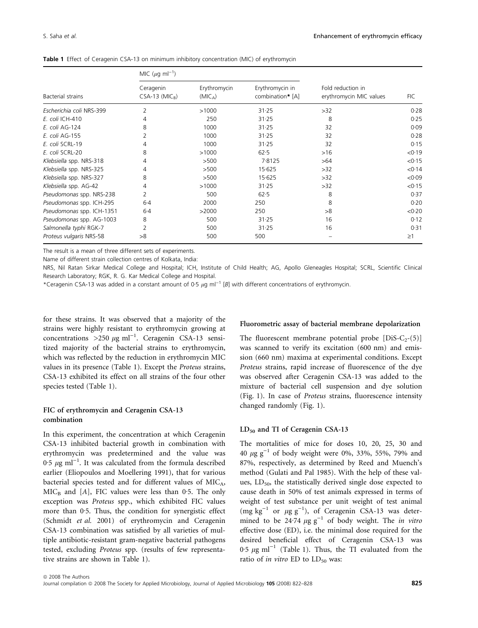| Bacterial strains         | MIC ( $\mu$ g ml <sup>-1</sup> )          |                                     |                                     |                                              |            |
|---------------------------|-------------------------------------------|-------------------------------------|-------------------------------------|----------------------------------------------|------------|
|                           | Ceragenin<br>$CSA-13$ (MIC <sub>R</sub> ) | Erythromycin<br>(MIC <sub>A</sub> ) | Erythromycin in<br>combination* [A] | Fold reduction in<br>erythromycin MIC values | <b>FIC</b> |
| Escherichia coli NRS-399  | 2                                         | >1000                               | 31.25                               | >32                                          | 0.28       |
| E. coli ICH-410           | 4                                         | 250                                 | 31.25                               | 8                                            | 0.25       |
| E. coli AG-124            | 8                                         | 1000                                | 31.25                               | 32                                           | 0.09       |
| E. coli AG-155            |                                           | 1000                                | 31.25                               | 32                                           | 0.28       |
| E. coli SCRL-19           | 4                                         | 1000                                | 31.25                               | 32                                           | 0.15       |
| E. coli SCRL-20           | 8                                         | >1000                               | 62.5                                | >16                                          | < 0.19     |
| Klebsiella spp. NRS-318   | 4                                         | >500                                | 7.8125                              | >64                                          | < 0.15     |
| Klebsiella spp. NRS-325   | 4                                         | >500                                | 15.625                              | >32                                          | < 0.14     |
| Klebsiella spp. NRS-327   | 8                                         | >500                                | 15.625                              | >32                                          | < 0.09     |
| Klebsiella spp. AG-42     | 4                                         | >1000                               | 31.25                               | >32                                          | < 0.15     |
| Pseudomonas spp. NRS-238  | 2                                         | 500                                 | $62 - 5$                            | 8                                            | 0.37       |
| Pseudomonas spp. ICH-295  | $6-4$                                     | 2000                                | 250                                 | 8                                            | 0.20       |
| Pseudomonas spp. ICH-1351 | $6-4$                                     | >2000                               | 250                                 | >8                                           | < 0.20     |
| Pseudomonas spp. AG-1003  | 8                                         | 500                                 | 31.25                               | 16                                           | 0.12       |
| Salmonella typhi RGK-7    | 2                                         | 500                                 | 31.25                               | 16                                           | 0.31       |
| Proteus vulgaris NRS-58   | >8                                        | 500                                 | 500                                 |                                              | $\geq$ 1   |

| Table 1 Effect of Ceragenin CSA-13 on minimum inhibitory concentration (MIC) of erythromycin |  |
|----------------------------------------------------------------------------------------------|--|
|----------------------------------------------------------------------------------------------|--|

The result is a mean of three different sets of experiments.

Name of different strain collection centres of Kolkata, India:

NRS, Nil Ratan Sirkar Medical College and Hospital; ICH, Institute of Child Health; AG, Apollo Gleneagles Hospital; SCRL, Scientific Clinical Research Laboratory; RGK, R. G. Kar Medical College and Hospital.

\*Ceragenin CSA-13 was added in a constant amount of 0.5  $\mu$ g ml<sup>-1</sup> [B] with different concentrations of erythromycin.

for these strains. It was observed that a majority of the strains were highly resistant to erythromycin growing at concentrations  $>$ 250  $\mu$ g ml<sup>-1</sup>. Ceragenin CSA-13 sensitized majority of the bacterial strains to erythromycin, which was reflected by the reduction in erythromycin MIC values in its presence (Table 1). Except the Proteus strains, CSA-13 exhibited its effect on all strains of the four other species tested (Table 1).

# FIC of erythromycin and Ceragenin CSA-13 combination

In this experiment, the concentration at which Ceragenin CSA-13 inhibited bacterial growth in combination with erythromycin was predetermined and the value was  $0.5 \mu$ g ml<sup>-1</sup>. It was calculated from the formula described earlier (Eliopoulos and Moellering 1991), that for various bacterial species tested and for different values of  $MIC<sub>A</sub>$ ,  $MIC<sub>B</sub>$  and [A], FIC values were less than 0.5. The only exception was Proteus spp., which exhibited FIC values more than 0.5. Thus, the condition for synergistic effect (Schmidt et al. 2001) of erythromycin and Ceragenin CSA-13 combination was satisfied by all varieties of multiple antibiotic-resistant gram-negative bacterial pathogens tested, excluding Proteus spp. (results of few representative strains are shown in Table 1).

#### Fluorometric assay of bacterial membrane depolarization

The fluorescent membrane potential probe  $[DiS-C_2-(5)]$ was scanned to verify its excitation (600 nm) and emission (660 nm) maxima at experimental conditions. Except Proteus strains, rapid increase of fluorescence of the dye was observed after Ceragenin CSA-13 was added to the mixture of bacterial cell suspension and dye solution (Fig. 1). In case of Proteus strains, fluorescence intensity changed randomly (Fig. 1).

#### $LD_{50}$  and TI of Ceragenin CSA-13

The mortalities of mice for doses 10, 20, 25, 30 and 40  $\mu$ g g<sup>-1</sup> of body weight were 0%, 33%, 55%, 79% and 87%, respectively, as determined by Reed and Muench's method (Gulati and Pal 1985). With the help of these values,  $LD_{50}$ , the statistically derived single dose expected to cause death in 50% of test animals expressed in terms of weight of test substance per unit weight of test animal  $(\text{mg kg}^{-1} \text{ or } \mu \text{g g}^{-1}), \text{ of Ceragenin CSA-13 was deter-}$ mined to be  $24.74 \mu g g^{-1}$  of body weight. The in vitro effective dose (ED), i.e. the minimal dose required for the desired beneficial effect of Ceragenin CSA-13 was 0.5  $\mu$ g ml<sup>-1</sup> (Table 1). Thus, the TI evaluated from the ratio of in vitro ED to  $LD_{50}$  was: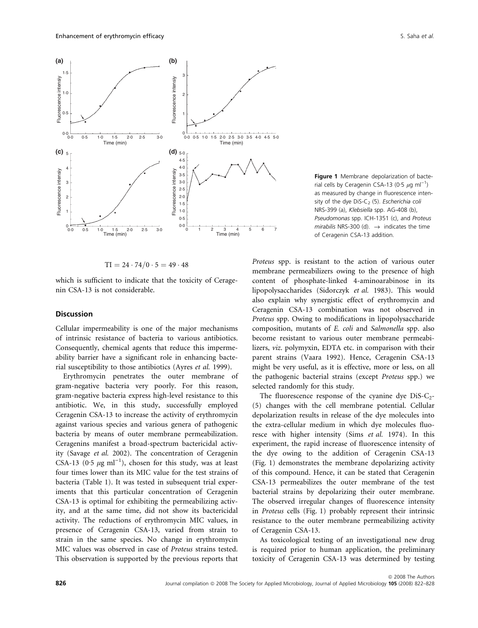

$$
TI = 24 \cdot 74/0 \cdot 5 = 49 \cdot 48
$$

which is sufficient to indicate that the toxicity of Ceragenin CSA-13 is not considerable.

#### Discussion

Cellular impermeability is one of the major mechanisms of intrinsic resistance of bacteria to various antibiotics. Consequently, chemical agents that reduce this impermeability barrier have a significant role in enhancing bacterial susceptibility to those antibiotics (Ayres et al. 1999).

Erythromycin penetrates the outer membrane of gram-negative bacteria very poorly. For this reason, gram-negative bacteria express high-level resistance to this antibiotic. We, in this study, successfully employed Ceragenin CSA-13 to increase the activity of erythromycin against various species and various genera of pathogenic bacteria by means of outer membrane permeabilization. Ceragenins manifest a broad-spectrum bactericidal activity (Savage et al. 2002). The concentration of Ceragenin CSA-13 (0.5  $\mu$ g ml<sup>-1</sup>), chosen for this study, was at least four times lower than its MIC value for the test strains of bacteria (Table 1). It was tested in subsequent trial experiments that this particular concentration of Ceragenin CSA-13 is optimal for exhibiting the permeabilizing activity, and at the same time, did not show its bactericidal activity. The reductions of erythromycin MIC values, in presence of Ceragenin CSA-13, varied from strain to strain in the same species. No change in erythromycin MIC values was observed in case of Proteus strains tested. This observation is supported by the previous reports that

Figure 1 Membrane depolarization of bacterial cells by Ceragenin CSA-13 (0.5  $\mu$ g ml<sup>-1</sup>) as measured by change in fluorescence intensity of the dye DiS-C<sub>2</sub> (5). Escherichia coli NRS-399 (a), Klebsiella spp. AG-408 (b), Pseudomonas spp. ICH-1351 (c), and Proteus mirabilis NRS-300 (d).  $\rightarrow$  indicates the time of Ceragenin CSA-13 addition.

Proteus spp. is resistant to the action of various outer membrane permeabilizers owing to the presence of high content of phosphate-linked 4-aminoarabinose in its lipopolysaccharides (Sidorczyk et al. 1983). This would also explain why synergistic effect of erythromycin and Ceragenin CSA-13 combination was not observed in Proteus spp. Owing to modifications in lipopolysaccharide composition, mutants of E. coli and Salmonella spp. also become resistant to various outer membrane permeabilizers, viz. polymyxin, EDTA etc. in comparison with their parent strains (Vaara 1992). Hence, Ceragenin CSA-13 might be very useful, as it is effective, more or less, on all the pathogenic bacterial strains (except Proteus spp.) we selected randomly for this study.

The fluorescence response of the cyanine dye  $Dis-C<sub>2</sub>$ -(5) changes with the cell membrane potential. Cellular depolarization results in release of the dye molecules into the extra-cellular medium in which dye molecules fluoresce with higher intensity (Sims et al. 1974). In this experiment, the rapid increase of fluorescence intensity of the dye owing to the addition of Ceragenin CSA-13 (Fig. 1) demonstrates the membrane depolarizing activity of this compound. Hence, it can be stated that Ceragenin CSA-13 permeabilizes the outer membrane of the test bacterial strains by depolarizing their outer membrane. The observed irregular changes of fluorescence intensity in Proteus cells (Fig. 1) probably represent their intrinsic resistance to the outer membrane permeabilizing activity of Ceragenin CSA-13.

As toxicological testing of an investigational new drug is required prior to human application, the preliminary toxicity of Ceragenin CSA-13 was determined by testing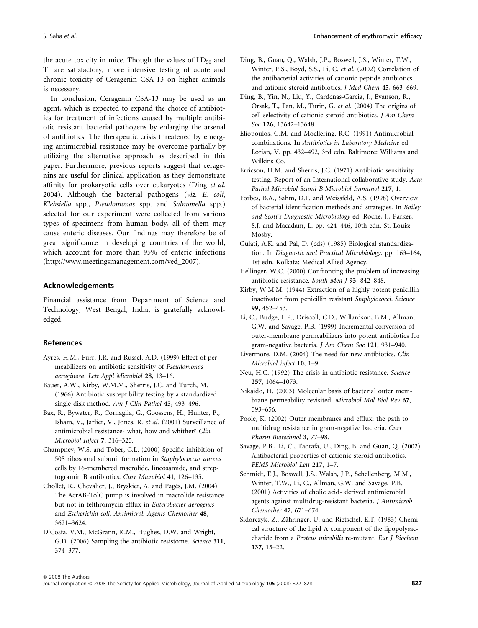the acute toxicity in mice. Though the values of  $LD_{50}$  and TI are satisfactory, more intensive testing of acute and chronic toxicity of Ceragenin CSA-13 on higher animals is necessary.

In conclusion, Ceragenin CSA-13 may be used as an agent, which is expected to expand the choice of antibiotics for treatment of infections caused by multiple antibiotic resistant bacterial pathogens by enlarging the arsenal of antibiotics. The therapeutic crisis threatened by emerging antimicrobial resistance may be overcome partially by utilizing the alternative approach as described in this paper. Furthermore, previous reports suggest that ceragenins are useful for clinical application as they demonstrate affinity for prokaryotic cells over eukaryotes (Ding et al. 2004). Although the bacterial pathogens (viz. E. coli, Klebsiella spp., Pseudomonas spp. and Salmonella spp.) selected for our experiment were collected from various types of specimens from human body, all of them may cause enteric diseases. Our findings may therefore be of great significance in developing countries of the world, which account for more than 95% of enteric infections (http://www.meetingsmanagement.com/ved\_2007).

## Acknowledgements

Financial assistance from Department of Science and Technology, West Bengal, India, is gratefully acknowledged.

## References

- Ayres, H.M., Furr, J.R. and Russel, A.D. (1999) Effect of permeabilizers on antibiotic sensitivity of Pseudomonas aeruginosa. Lett Appl Microbiol 28, 13–16.
- Bauer, A.W., Kirby, W.M.M., Sherris, J.C. and Turch, M. (1966) Antibiotic susceptibility testing by a standardized single disk method. Am J Clin Pathol 45, 493-496.
- Bax, R., Bywater, R., Cornaglia, G., Goossens, H., Hunter, P., Isham, V., Jarlier, V., Jones, R. et al. (2001) Surveillance of antimicrobial resistance- what, how and whither? Clin Microbiol Infect 7, 316–325.
- Champney, W.S. and Tober, C.L. (2000) Specific inhibition of 50S ribosomal subunit formation in Staphylococcus aureus cells by 16-membered macrolide, lincosamide, and streptogramin B antibiotics. Curr Microbiol 41, 126–135.
- Chollet, R., Chevalier, J., Bryskier, A. and Pagés, J.M. (2004) The AcrAB-TolC pump is involved in macrolide resistance but not in telthromycin efflux in Enterobacter aerogenes and Escherichia coli. Antimicrob Agents Chemother 48, 3621–3624.
- D'Costa, V.M., McGrann, K.M., Hughes, D.W. and Wright, G.D. (2006) Sampling the antibiotic resistome. Science 311, 374–377.
- Ding, B., Guan, Q., Walsh, J.P., Boswell, J.S., Winter, T.W., Winter, E.S., Boyd, S.S., Li, C. et al. (2002) Correlation of the antibacterial activities of cationic peptide antibiotics and cationic steroid antibiotics. J Med Chem 45, 663–669.
- Ding, B., Yin, N., Liu, Y., Cardenas-Garcia, J., Evanson, R., Orsak, T., Fan, M., Turin, G. et al. (2004) The origins of cell selectivity of cationic steroid antibiotics. J Am Chem Soc 126, 13642–13648.
- Eliopoulos, G.M. and Moellering, R.C. (1991) Antimicrobial combinations. In Antibiotics in Laboratory Medicine ed. Lorian, V. pp. 432–492, 3rd edn. Baltimore: Williams and Wilkins Co.
- Erricson, H.M. and Sherris, J.C. (1971) Antibiotic sensitivity testing. Report of an International collaborative study. Acta Pathol Microbiol Scand B Microbiol Immunol 217, 1.
- Forbes, B.A., Sahm, D.F. and Weissfeld, A.S. (1998) Overview of bacterial identification methods and strategies. In Bailey and Scott's Diagnostic Microbiology ed. Roche, J., Parker, S.J. and Macadam, L. pp. 424–446, 10th edn. St. Louis: Mosby.
- Gulati, A.K. and Pal, D. (eds) (1985) Biological standardization. In Diagnostic and Practical Microbiology. pp. 163–164, 1st edn. Kolkata: Medical Allied Agency.
- Hellinger, W.C. (2000) Confronting the problem of increasing antibiotic resistance. South Med J 93, 842–848.
- Kirby, W.M.M. (1944) Extraction of a highly potent penicillin inactivator from penicillin resistant Staphylococci. Science 99, 452–453.
- Li, C., Budge, L.P., Driscoll, C.D., Willardson, B.M., Allman, G.W. and Savage, P.B. (1999) Incremental conversion of outer-membrane permeabilizers into potent antibiotics for gram-negative bacteria. J Am Chem Soc 121, 931–940.
- Livermore, D.M. (2004) The need for new antibiotics. Clin Microbiol infect 10, 1–9.
- Neu, H.C. (1992) The crisis in antibiotic resistance. Science 257, 1064–1073.
- Nikaido, H. (2003) Molecular basis of bacterial outer membrane permeability revisited. Microbiol Mol Biol Rev 67, 593–656.
- Poole, K. (2002) Outer membranes and efflux: the path to multidrug resistance in gram-negative bacteria. Curr Pharm Biotechnol 3, 77–98.
- Savage, P.B., Li, C., Taotafa, U., Ding, B. and Guan, Q. (2002) Antibacterial properties of cationic steroid antibiotics. FEMS Microbiol Lett 217, 1–7.
- Schmidt, E.J., Boswell, J.S., Walsh, J.P., Schellenberg, M.M., Winter, T.W., Li, C., Allman, G.W. and Savage, P.B. (2001) Activities of cholic acid- derived antimicrobial agents against multidrug-resistant bacteria. J Antimicrob Chemother 47, 671–674.
- Sidorczyk, Z., Zähringer, U. and Rietschel, E.T. (1983) Chemical structure of the lipid A component of the lipopolysaccharide from a Proteus mirabilis re-mutant. Eur J Biochem 137, 15–22.